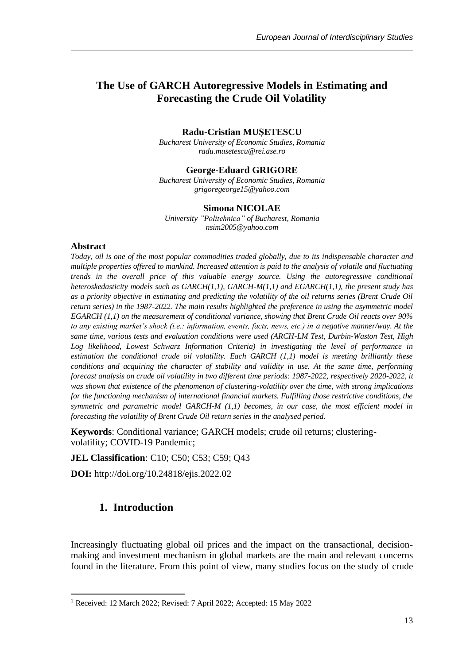## **The Use of GARCH Autoregressive Models in Estimating and Forecasting the Crude Oil Volatility**

#### **Radu-Cristian MUȘETESCU**

*Bucharest University of Economic Studies, Romania radu.musetescu@rei.ase.ro*

#### **George-Eduard GRIGORE**

*Bucharest University of Economic Studies, Romania grigoregeorge15@yahoo.com*

#### **Simona NICOLAE**

*University "Politehnica" of Bucharest, Romania nsim2005@yahoo.com*

#### Abstract

*Today, oil is one of the most popular commodities traded globally, due to its indispensable character and multiple properties offered to mankind. Increased attention is paid to the analysis of volatile and fluctuating trends in the overall price of this valuable energy source. Using the autoregressive conditional heteroskedasticity models such as GARCH(1,1), GARCH-M(1,1) and EGARCH(1,1), the present study has as a priority objective in estimating and predicting the volatility of the oil returns series (Brent Crude Oil return series) in the 1987-2022. The main results highlighted the preference in using the asymmetric model EGARCH (1,1) on the measurement of conditional variance, showing that Brent Crude Oil reacts over 90% to any existing market's shock (i.e.: information, events, facts, news, etc.) in a negative manner/way. At the same time, various tests and evaluation conditions were used (ARCH-LM Test, Durbin-Waston Test, High Log likelihood, Lowest Schwarz Information Criteria) in investigating the level of performance in estimation the conditional crude oil volatility. Each GARCH (1,1) model is meeting brilliantly these conditions and acquiring the character of stability and validity in use. At the same time, performing forecast analysis on crude oil volatility in two different time periods: 1987-2022, respectively 2020-2022, it was shown that existence of the phenomenon of clustering-volatility over the time, with strong implications for the functioning mechanism of international financial markets. Fulfilling those restrictive conditions, the symmetric and parametric model GARCH-M (1,1) becomes, in our case, the most efficient model in forecasting the volatility of Brent Crude Oil return series in the analysed period.* 

**Keywords**: Conditional variance; GARCH models; crude oil returns; clusteringvolatility; COVID-19 Pandemic;

**JEL Classification**: C10; C50; C53; C59; Q43

**DOI:** [http://doi.org/10.24818/ejis.2022.02](http://doi.org/10.24818/ejis.2022.01)

## **1. Introduction**

Increasingly fluctuating global oil prices and the impact on the transactional, decisionmaking and investment mechanism in global markets are the main and relevant concerns found in the literature. From this point of view, many studies focus on the study of crude

<sup>1</sup> Received: 12 March 2022; Revised: 7 April 2022; Accepted: 15 May 2022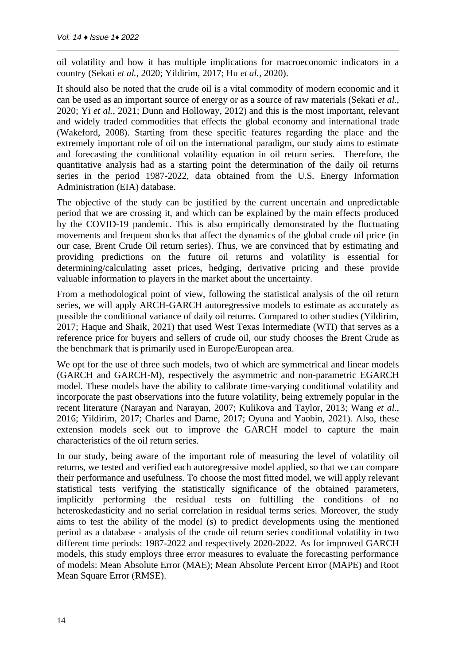oil volatility and how it has multiple implications for macroeconomic indicators in a country (Sekati *et al.*, 2020; Yildirim, 2017; Hu *et al.*, 2020).

It should also be noted that the crude oil is a vital commodity of modern economic and it can be used as an important source of energy or as a source of raw materials (Sekati *et al.*, 2020; Yi *et al.*, 2021; Dunn and Holloway, 2012) and this is the most important, relevant and widely traded commodities that effects the global economy and international trade (Wakeford, 2008). Starting from these specific features regarding the place and the extremely important role of oil on the international paradigm, our study aims to estimate and forecasting the conditional volatility equation in oil return series. Therefore, the quantitative analysis had as a starting point the determination of the daily oil returns series in the period 1987-2022, data obtained from the U.S. Energy Information Administration (EIA) database.

The objective of the study can be justified by the current uncertain and unpredictable period that we are crossing it, and which can be explained by the main effects produced by the COVID-19 pandemic. This is also empirically demonstrated by the fluctuating movements and frequent shocks that affect the dynamics of the global crude oil price (in our case, Brent Crude Oil return series). Thus, we are convinced that by estimating and providing predictions on the future oil returns and volatility is essential for determining/calculating asset prices, hedging, derivative pricing and these provide valuable information to players in the market about the uncertainty.

From a methodological point of view, following the statistical analysis of the oil return series, we will apply ARCH-GARCH autoregressive models to estimate as accurately as possible the conditional variance of daily oil returns. Compared to other studies (Yildirim, 2017; Haque and Shaik, 2021) that used West Texas Intermediate (WTI) that serves as a reference price for buyers and sellers of crude oil, our study chooses the Brent Crude as the benchmark that is primarily used in Europe/European area.

We opt for the use of three such models, two of which are symmetrical and linear models (GARCH and GARCH-M), respectively the asymmetric and non-parametric EGARCH model. These models have the ability to calibrate time-varying conditional volatility and incorporate the past observations into the future volatility, being extremely popular in the recent literature (Narayan and Narayan, 2007; Kulikova and Taylor, 2013; Wang *et al.*, 2016; Yildirim, 2017; Charles and Darne, 2017; Oyuna and Yaobin, 2021). Also, these extension models seek out to improve the GARCH model to capture the main characteristics of the oil return series.

In our study, being aware of the important role of measuring the level of volatility oil returns, we tested and verified each autoregressive model applied, so that we can compare their performance and usefulness. To choose the most fitted model, we will apply relevant statistical tests verifying the statistically significance of the obtained parameters, implicitly performing the residual tests on fulfilling the conditions of no heteroskedasticity and no serial correlation in residual terms series. Moreover, the study aims to test the ability of the model (s) to predict developments using the mentioned period as a database - analysis of the crude oil return series conditional volatility in two different time periods: 1987-2022 and respectively 2020-2022. As for improved GARCH models, this study employs three error measures to evaluate the forecasting performance of models: Mean Absolute Error (MAE); Mean Absolute Percent Error (MAPE) and Root Mean Square Error (RMSE).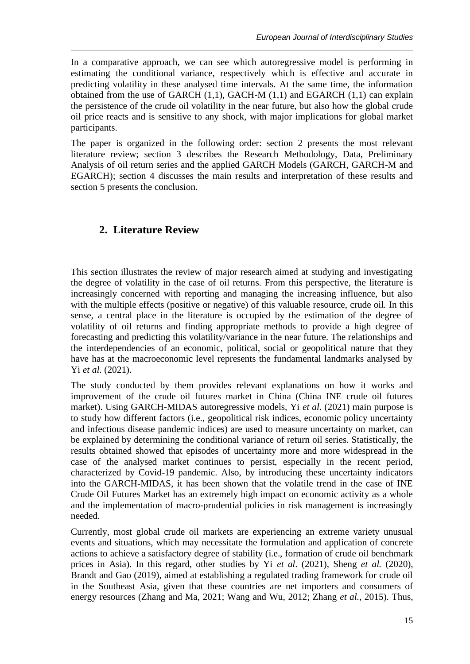In a comparative approach, we can see which autoregressive model is performing in estimating the conditional variance, respectively which is effective and accurate in predicting volatility in these analysed time intervals. At the same time, the information obtained from the use of GARCH  $(1,1)$ , GACH-M  $(1,1)$  and EGARCH  $(1,1)$  can explain the persistence of the crude oil volatility in the near future, but also how the global crude oil price reacts and is sensitive to any shock, with major implications for global market participants.

The paper is organized in the following order: section 2 presents the most relevant literature review; section 3 describes the Research Methodology, Data, Preliminary Analysis of oil return series and the applied GARCH Models (GARCH, GARCH-M and EGARCH); section 4 discusses the main results and interpretation of these results and section 5 presents the conclusion.

# **2. Literature Review**

This section illustrates the review of major research aimed at studying and investigating the degree of volatility in the case of oil returns. From this perspective, the literature is increasingly concerned with reporting and managing the increasing influence, but also with the multiple effects (positive or negative) of this valuable resource, crude oil. In this sense, a central place in the literature is occupied by the estimation of the degree of volatility of oil returns and finding appropriate methods to provide a high degree of forecasting and predicting this volatility/variance in the near future. The relationships and the interdependencies of an economic, political, social or geopolitical nature that they have has at the macroeconomic level represents the fundamental landmarks analysed by Yi *et al*. (2021).

The study conducted by them provides relevant explanations on how it works and improvement of the crude oil futures market in China (China INE crude oil futures market). Using GARCH-MIDAS autoregressive models, Yi *et al*. (2021) main purpose is to study how different factors (i.e., geopolitical risk indices, economic policy uncertainty and infectious disease pandemic indices) are used to measure uncertainty on market, can be explained by determining the conditional variance of return oil series. Statistically, the results obtained showed that episodes of uncertainty more and more widespread in the case of the analysed market continues to persist, especially in the recent period, characterized by Covid-19 pandemic. Also, by introducing these uncertainty indicators into the GARCH-MIDAS, it has been shown that the volatile trend in the case of INE Crude Oil Futures Market has an extremely high impact on economic activity as a whole and the implementation of macro-prudential policies in risk management is increasingly needed.

Currently, most global crude oil markets are experiencing an extreme variety unusual events and situations, which may necessitate the formulation and application of concrete actions to achieve a satisfactory degree of stability (i.e., formation of crude oil benchmark prices in Asia). In this regard, other studies by Yi *et al*. (2021), Sheng *et al.* (2020), Brandt and Gao (2019), aimed at establishing a regulated trading framework for crude oil in the Southeast Asia, given that these countries are net importers and consumers of energy resources (Zhang and Ma, 2021; Wang and Wu, 2012; Zhang *et al*., 2015). Thus,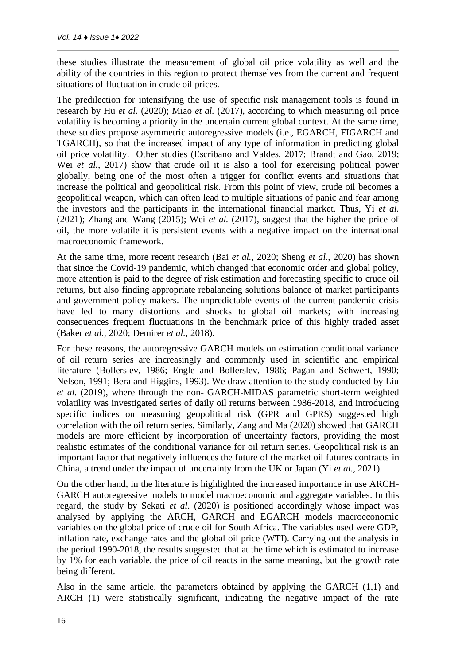these studies illustrate the measurement of global oil price volatility as well and the ability of the countries in this region to protect themselves from the current and frequent situations of fluctuation in crude oil prices.

The predilection for intensifying the use of specific risk management tools is found in research by Hu *et al.* (2020); Miao *et al.* (2017), according to which measuring oil price volatility is becoming a priority in the uncertain current global context. At the same time, these studies propose asymmetric autoregressive models (i.e., EGARCH, FIGARCH and TGARCH), so that the increased impact of any type of information in predicting global oil price volatility. Other studies (Escribano and Valdes, 2017; Brandt and Gao, 2019; Wei *et al.*, 2017) show that crude oil it is also a tool for exercising political power globally, being one of the most often a trigger for conflict events and situations that increase the political and geopolitical risk. From this point of view, crude oil becomes a geopolitical weapon, which can often lead to multiple situations of panic and fear among the investors and the participants in the international financial market. Thus, Yi *et al.* (2021); Zhang and Wang (2015); Wei *et al.* (2017), suggest that the higher the price of oil, the more volatile it is persistent events with a negative impact on the international macroeconomic framework.

At the same time, more recent research (Bai *et al.*, 2020; Sheng *et al.*, 2020) has shown that since the Covid-19 pandemic, which changed that economic order and global policy, more attention is paid to the degree of risk estimation and forecasting specific to crude oil returns, but also finding appropriate rebalancing solutions balance of market participants and government policy makers. The unpredictable events of the current pandemic crisis have led to many distortions and shocks to global oil markets; with increasing consequences frequent fluctuations in the benchmark price of this highly traded asset (Baker *et al.*, 2020; Demirer *et al.*, 2018).

For these reasons, the autoregressive GARCH models on estimation conditional variance of oil return series are increasingly and commonly used in scientific and empirical literature (Bollerslev, 1986; Engle and Bollerslev, 1986; Pagan and Schwert, 1990; Nelson, 1991; Bera and Higgins, 1993). We draw attention to the study conducted by Liu *et al.* (2019), where through the non- GARCH-MIDAS parametric short-term weighted volatility was investigated series of daily oil returns between 1986-2018, and introducing specific indices on measuring geopolitical risk (GPR and GPRS) suggested high correlation with the oil return series. Similarly, Zang and Ma (2020) showed that GARCH models are more efficient by incorporation of uncertainty factors, providing the most realistic estimates of the conditional variance for oil return series. Geopolitical risk is an important factor that negatively influences the future of the market oil futures contracts in China, a trend under the impact of uncertainty from the UK or Japan (Yi *et al.*, 2021).

On the other hand, in the literature is highlighted the increased importance in use ARCH-GARCH autoregressive models to model macroeconomic and aggregate variables. In this regard, the study by Sekati *et al*. (2020) is positioned accordingly whose impact was analysed by applying the ARCH, GARCH and EGARCH models macroeconomic variables on the global price of crude oil for South Africa. The variables used were GDP, inflation rate, exchange rates and the global oil price (WTI). Carrying out the analysis in the period 1990-2018, the results suggested that at the time which is estimated to increase by 1% for each variable, the price of oil reacts in the same meaning, but the growth rate being different.

Also in the same article, the parameters obtained by applying the GARCH (1,1) and ARCH (1) were statistically significant, indicating the negative impact of the rate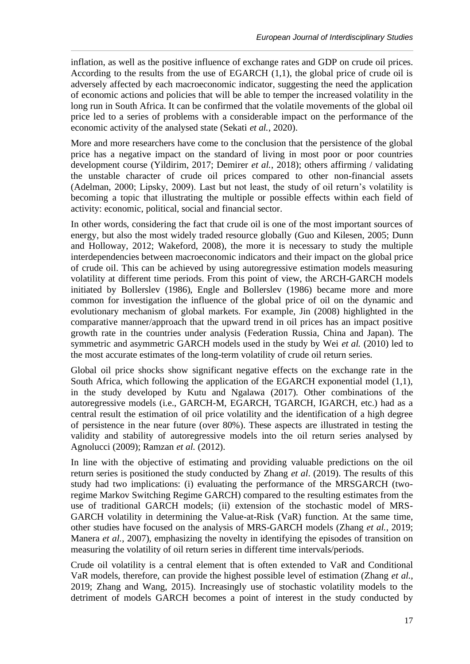inflation, as well as the positive influence of exchange rates and GDP on crude oil prices. According to the results from the use of EGARCH (1,1), the global price of crude oil is adversely affected by each macroeconomic indicator, suggesting the need the application of economic actions and policies that will be able to temper the increased volatility in the long run in South Africa. It can be confirmed that the volatile movements of the global oil price led to a series of problems with a considerable impact on the performance of the economic activity of the analysed state (Sekati *et al.*, 2020).

More and more researchers have come to the conclusion that the persistence of the global price has a negative impact on the standard of living in most poor or poor countries development course (Yildirim, 2017; Demirer *et al.*, 2018); others affirming / validating the unstable character of crude oil prices compared to other non-financial assets (Adelman, 2000; Lipsky, 2009). Last but not least, the study of oil return's volatility is becoming a topic that illustrating the multiple or possible effects within each field of activity: economic, political, social and financial sector.

In other words, considering the fact that crude oil is one of the most important sources of energy, but also the most widely traded resource globally (Guo and Kilesen, 2005; Dunn and Holloway, 2012; Wakeford, 2008), the more it is necessary to study the multiple interdependencies between macroeconomic indicators and their impact on the global price of crude oil. This can be achieved by using autoregressive estimation models measuring volatility at different time periods. From this point of view, the ARCH-GARCH models initiated by Bollerslev (1986), Engle and Bollerslev (1986) became more and more common for investigation the influence of the global price of oil on the dynamic and evolutionary mechanism of global markets. For example, Jin (2008) highlighted in the comparative manner/approach that the upward trend in oil prices has an impact positive growth rate in the countries under analysis (Federation Russia, China and Japan). The symmetric and asymmetric GARCH models used in the study by Wei *et al.* (2010) led to the most accurate estimates of the long-term volatility of crude oil return series.

Global oil price shocks show significant negative effects on the exchange rate in the South Africa, which following the application of the EGARCH exponential model (1,1), in the study developed by Kutu and Ngalawa (2017). Other combinations of the autoregressive models (i.e., GARCH-M, EGARCH, TGARCH, IGARCH, etc.) had as a central result the estimation of oil price volatility and the identification of a high degree of persistence in the near future (over 80%). These aspects are illustrated in testing the validity and stability of autoregressive models into the oil return series analysed by Agnolucci (2009); Ramzan *et al.* (2012).

In line with the objective of estimating and providing valuable predictions on the oil return series is positioned the study conducted by Zhang *et al*. (2019). The results of this study had two implications: (i) evaluating the performance of the MRSGARCH (tworegime Markov Switching Regime GARCH) compared to the resulting estimates from the use of traditional GARCH models; (ii) extension of the stochastic model of MRS-GARCH volatility in determining the Value-at-Risk (VaR) function. At the same time, other studies have focused on the analysis of MRS-GARCH models (Zhang *et al.*, 2019; Manera *et al.*, 2007), emphasizing the novelty in identifying the episodes of transition on measuring the volatility of oil return series in different time intervals/periods.

Crude oil volatility is a central element that is often extended to VaR and Conditional VaR models, therefore, can provide the highest possible level of estimation (Zhang *et al.*, 2019; Zhang and Wang, 2015). Increasingly use of stochastic volatility models to the detriment of models GARCH becomes a point of interest in the study conducted by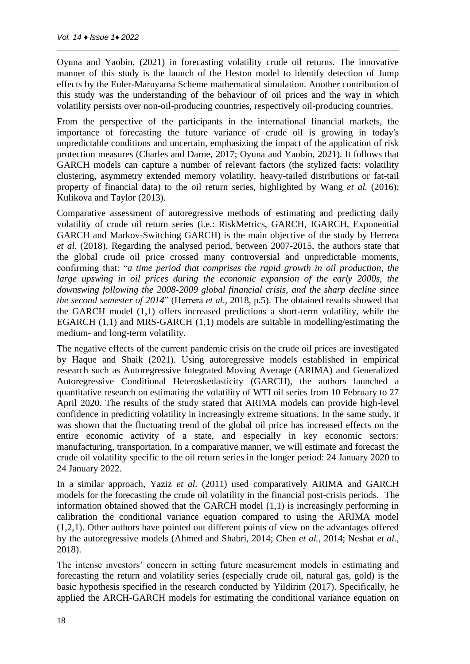Oyuna and Yaobin, (2021) in forecasting volatility crude oil returns. The innovative manner of this study is the launch of the Heston model to identify detection of Jump effects by the Euler-Maruyama Scheme mathematical simulation. Another contribution of this study was the understanding of the behaviour of oil prices and the way in which volatility persists over non-oil-producing countries, respectively oil-producing countries.

From the perspective of the participants in the international financial markets, the importance of forecasting the future variance of crude oil is growing in today's unpredictable conditions and uncertain, emphasizing the impact of the application of risk protection measures (Charles and Darne, 2017; Oyuna and Yaobin, 2021). It follows that GARCH models can capture a number of relevant factors (the stylized facts: volatility clustering, asymmetry extended memory volatility, heavy-tailed distributions or fat-tail property of financial data) to the oil return series, highlighted by Wang *et al.* (2016); Kulikova and Taylor (2013).

Comparative assessment of autoregressive methods of estimating and predicting daily volatility of crude oil return series (i.e.: RiskMetrics, GARCH, IGARCH, Exponential GARCH and Markov-Switching GARCH) is the main objective of the study by Herrera *et al.* (2018). Regarding the analysed period, between 2007-2015, the authors state that the global crude oil price crossed many controversial and unpredictable moments, confirming that: "*a time period that comprises the rapid growth in oil production, the large upswing in oil prices during the economic expansion of the early 2000s, the downswing following the 2008-2009 global financial crisis, and the sharp decline since the second semester of 2014*" (Herrera *et al*., 2018, p.5). The obtained results showed that the GARCH model (1,1) offers increased predictions a short-term volatility, while the EGARCH (1,1) and MRS-GARCH (1,1) models are suitable in modelling/estimating the medium- and long-term volatility.

The negative effects of the current pandemic crisis on the crude oil prices are investigated by Haque and Shaik (2021). Using autoregressive models established in empirical research such as Autoregressive Integrated Moving Average (ARIMA) and Generalized Autoregressive Conditional Heteroskedasticity (GARCH), the authors launched a quantitative research on estimating the volatility of WTI oil series from 10 February to 27 April 2020. The results of the study stated that ARIMA models can provide high-level confidence in predicting volatility in increasingly extreme situations. In the same study, it was shown that the fluctuating trend of the global oil price has increased effects on the entire economic activity of a state, and especially in key economic sectors: manufacturing, transportation. In a comparative manner, we will estimate and forecast the crude oil volatility specific to the oil return series in the longer period: 24 January 2020 to 24 January 2022.

In a similar approach, Yaziz *et al.* (2011) used comparatively ARIMA and GARCH models for the forecasting the crude oil volatility in the financial post-crisis periods. The information obtained showed that the GARCH model (1,1) is increasingly performing in calibration the conditional variance equation compared to using the ARIMA model (1,2,1). Other authors have pointed out different points of view on the advantages offered by the autoregressive models (Ahmed and Shabri, 2014; Chen *et al.*, 2014; Neshat *et al.*, 2018).

The intense investors' concern in setting future measurement models in estimating and forecasting the return and volatility series (especially crude oil, natural gas, gold) is the basic hypothesis specified in the research conducted by Yildirim (2017). Specifically, he applied the ARCH-GARCH models for estimating the conditional variance equation on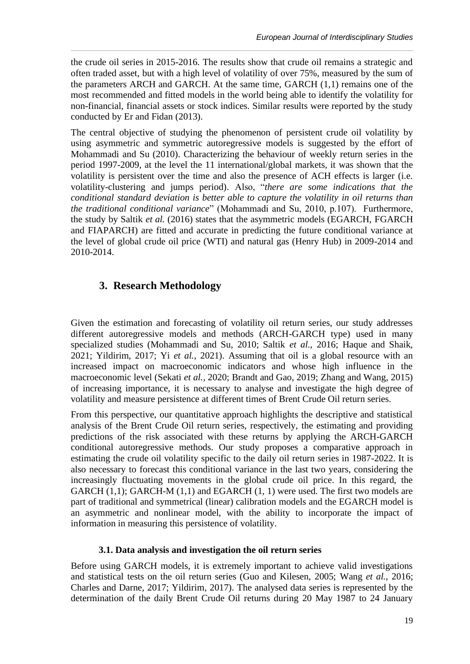the crude oil series in 2015-2016. The results show that crude oil remains a strategic and often traded asset, but with a high level of volatility of over 75%, measured by the sum of the parameters ARCH and GARCH. At the same time, GARCH (1,1) remains one of the most recommended and fitted models in the world being able to identify the volatility for non-financial, financial assets or stock indices. Similar results were reported by the study conducted by Er and Fidan (2013).

The central objective of studying the phenomenon of persistent crude oil volatility by using asymmetric and symmetric autoregressive models is suggested by the effort of Mohammadi and Su (2010). Characterizing the behaviour of weekly return series in the period 1997-2009, at the level the 11 international/global markets, it was shown that the volatility is persistent over the time and also the presence of ACH effects is larger (i.e. volatility-clustering and jumps period). Also, "*there are some indications that the conditional standard deviation is better able to capture the volatility in oil returns than the traditional conditional variance*" (Mohammadi and Su, 2010, p.107). Furthermore, the study by Saltik *et al.* (2016) states that the asymmetric models (EGARCH, FGARCH and FIAPARCH) are fitted and accurate in predicting the future conditional variance at the level of global crude oil price (WTI) and natural gas (Henry Hub) in 2009-2014 and 2010-2014.

# **3. Research Methodology**

Given the estimation and forecasting of volatility oil return series, our study addresses different autoregressive models and methods (ARCH-GARCH type) used in many specialized studies (Mohammadi and Su, 2010; Saltik *et al.*, 2016; Haque and Shaik, 2021; Yildirim, 2017; Yi *et al.*, 2021). Assuming that oil is a global resource with an increased impact on macroeconomic indicators and whose high influence in the macroeconomic level (Sekati *et al.*, 2020; Brandt and Gao, 2019; Zhang and Wang, 2015) of increasing importance, it is necessary to analyse and investigate the high degree of volatility and measure persistence at different times of Brent Crude Oil return series.

From this perspective, our quantitative approach highlights the descriptive and statistical analysis of the Brent Crude Oil return series, respectively, the estimating and providing predictions of the risk associated with these returns by applying the ARCH-GARCH conditional autoregressive methods. Our study proposes a comparative approach in estimating the crude oil volatility specific to the daily oil return series in 1987-2022. It is also necessary to forecast this conditional variance in the last two years, considering the increasingly fluctuating movements in the global crude oil price. In this regard, the GARCH (1,1); GARCH-M (1,1) and EGARCH (1, 1) were used. The first two models are part of traditional and symmetrical (linear) calibration models and the EGARCH model is an asymmetric and nonlinear model, with the ability to incorporate the impact of information in measuring this persistence of volatility.

### **3.1. Data analysis and investigation the oil return series**

Before using GARCH models, it is extremely important to achieve valid investigations and statistical tests on the oil return series (Guo and Kilesen, 2005; Wang *et al.*, 2016; Charles and Darne, 2017; Yildirim, 2017). The analysed data series is represented by the determination of the daily Brent Crude Oil returns during 20 May 1987 to 24 January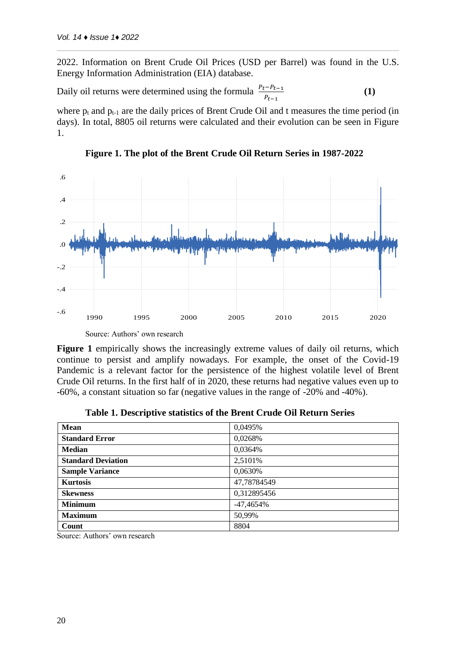2022. Information on Brent Crude Oil Prices (USD per Barrel) was found in the U.S. Energy Information Administration (EIA) database.

Daily oil returns were determined using the formula  $\frac{P_t - P_{t-1}}{P_{t-1}}$ **(1)**

where  $p_t$  and  $p_{t-1}$  are the daily prices of Brent Crude Oil and t measures the time period (in days). In total, 8805 oil returns were calculated and their evolution can be seen in Figure 1.



**Figure 1. The plot of the Brent Crude Oil Return Series in 1987-2022**

Source: Authors' own research

Figure 1 empirically shows the increasingly extreme values of daily oil returns, which continue to persist and amplify nowadays. For example, the onset of the Covid-19 Pandemic is a relevant factor for the persistence of the highest volatile level of Brent Crude Oil returns. In the first half of in 2020, these returns had negative values even up to -60%, a constant situation so far (negative values in the range of -20% and -40%).

| <b>Mean</b>               | 0,0495%     |
|---------------------------|-------------|
| <b>Standard Error</b>     | 0,0268%     |
| <b>Median</b>             | 0,0364%     |
| <b>Standard Deviation</b> | 2,5101\%    |
| <b>Sample Variance</b>    | 0,0630%     |
| <b>Kurtosis</b>           | 47,78784549 |
| <b>Skewness</b>           | 0,312895456 |
| <b>Minimum</b>            | $-47,4654%$ |
| <b>Maximum</b>            | 50,99%      |
| Count                     | 8804        |

**Table 1. Descriptive statistics of the Brent Crude Oil Return Series**

Source: Authors' own research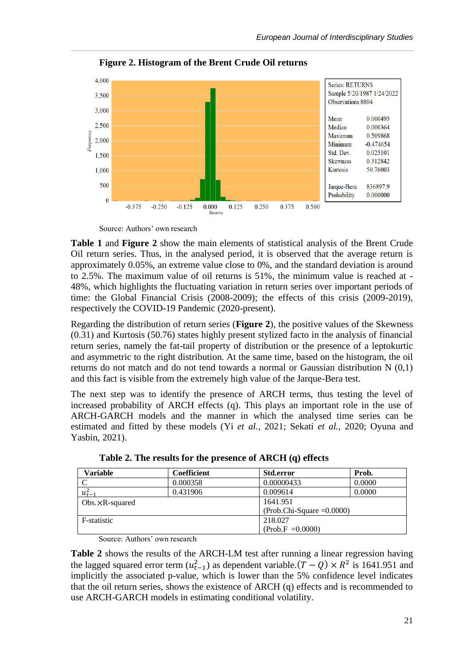

**Figure 2. Histogram of the Brent Crude Oil returns**

Source: Authors' own research

**Table 1** and **Figure 2** show the main elements of statistical analysis of the Brent Crude Oil return series. Thus, in the analysed period, it is observed that the average return is approximately 0.05%, an extreme value close to 0%, and the standard deviation is around to 2.5%. The maximum value of oil returns is 51%, the minimum value is reached at - 48%, which highlights the fluctuating variation in return series over important periods of time: the Global Financial Crisis (2008-2009); the effects of this crisis (2009-2019), respectively the COVID-19 Pandemic (2020-present).

Regarding the distribution of return series (**Figure 2**), the positive values of the Skewness (0.31) and Kurtosis (50.76) states highly present stylized facto in the analysis of financial return series, namely the fat-tail property of distribution or the presence of a leptokurtic and asymmetric to the right distribution. At the same time, based on the histogram, the oil returns do not match and do not tend towards a normal or Gaussian distribution N (0,1) and this fact is visible from the extremely high value of the Jarque-Bera test.

The next step was to identify the presence of ARCH terms, thus testing the level of increased probability of ARCH effects (q). This plays an important role in the use of ARCH-GARCH models and the manner in which the analysed time series can be estimated and fitted by these models (Yi *et al.*, 2021; Sekati *et al.*, 2020; Oyuna and Yasbin, 2021).

| Variable           | Coefficient | <b>Std.error</b>             | Prob.  |  |  |
|--------------------|-------------|------------------------------|--------|--|--|
|                    | 0.000358    | 0.00000433                   | 0.0000 |  |  |
| $u_{t-1}^2$        | 0.431906    | 0.009614                     | 0.0000 |  |  |
| Obs. $XR$ -squared |             | 1641.951                     |        |  |  |
|                    |             | $(Prob.Chi-Square = 0.0000)$ |        |  |  |
| F-statistic        |             | 218.027                      |        |  |  |
|                    |             | $(Prob.F = 0.0000)$          |        |  |  |

**Table 2. The results for the presence of ARCH (q) effects**

Source: Authors' own research

**Table 2** shows the results of the ARCH-LM test after running a linear regression having the lagged squared error term  $(u_{t-1}^2)$  as dependent variable. $(T - Q) \times R^2$  is 1641.951 and implicitly the associated p-value, which is lower than the 5% confidence level indicates that the oil return series, shows the existence of ARCH (q) effects and is recommended to use ARCH-GARCH models in estimating conditional volatility.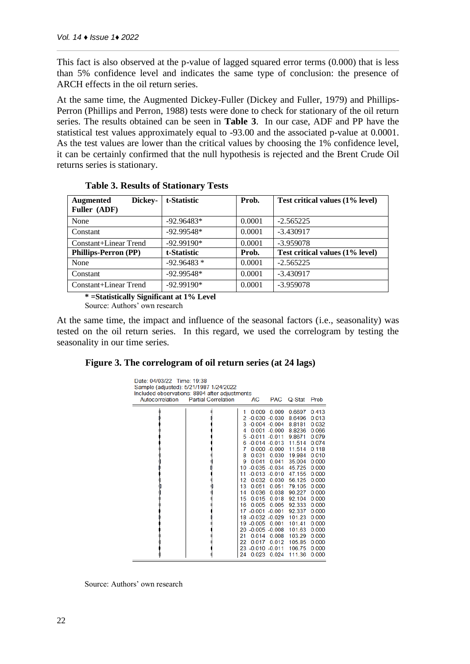This fact is also observed at the p-value of lagged squared error terms (0.000) that is less than 5% confidence level and indicates the same type of conclusion: the presence of ARCH effects in the oil return series.

At the same time, the Augmented Dickey-Fuller (Dickey and Fuller, 1979) and Phillips-Perron (Phillips and Perron, 1988) tests were done to check for stationary of the oil return series. The results obtained can be seen in **Table 3**. In our case, ADF and PP have the statistical test values approximately equal to -93.00 and the associated p-value at 0.0001. As the test values are lower than the critical values by choosing the 1% confidence level, it can be certainly confirmed that the null hypothesis is rejected and the Brent Crude Oil returns series is stationary.

| Dickey-<br><b>Augmented</b><br>Fuller (ADF) | t-Statistic  | Prob.  | Test critical values (1% level) |
|---------------------------------------------|--------------|--------|---------------------------------|
| None                                        | $-92.96483*$ | 0.0001 | $-2.565225$                     |
| Constant                                    | $-92.99548*$ | 0.0001 | $-3.430917$                     |
| Constant+Linear Trend                       | $-92.99190*$ | 0.0001 | $-3.959078$                     |
| <b>Phillips-Perron (PP)</b>                 | t-Statistic  | Prob.  | Test critical values (1% level) |
| None                                        | $-92.96483*$ | 0.0001 | $-2.565225$                     |
| Constant                                    | $-92.99548*$ | 0.0001 | $-3.430917$                     |
| Constant+Linear Trend                       | $-92.99190*$ | 0.0001 | $-3.959078$                     |

### **Table 3. Results of Stationary Tests**

**\* =Statistically Significant at 1% Level**

Source: Authors' own research

At the same time, the impact and influence of the seasonal factors (i.e., seasonality) was tested on the oil return series. In this regard, we used the correlogram by testing the seasonality in our time series.

#### **Figure 3. The correlogram of oil return series (at 24 lags)**

| Date: 04/03/22 Time: 19:38<br>Autocorrelation | Sample (adjusted): 5/21/1987 1/24/2022<br>Included observations: 8804 after adjustments<br><b>Partial Correlation</b> |                                                                                            | AC                                                                                                                                                                                                                                                   | <b>PAC</b>                                                                                                                                                            | Q-Stat                                                                                                                                                                                                                   | Prob                                                                                                                                                                                              |
|-----------------------------------------------|-----------------------------------------------------------------------------------------------------------------------|--------------------------------------------------------------------------------------------|------------------------------------------------------------------------------------------------------------------------------------------------------------------------------------------------------------------------------------------------------|-----------------------------------------------------------------------------------------------------------------------------------------------------------------------|--------------------------------------------------------------------------------------------------------------------------------------------------------------------------------------------------------------------------|---------------------------------------------------------------------------------------------------------------------------------------------------------------------------------------------------|
|                                               |                                                                                                                       | 1<br>2<br>4<br>5<br>6<br>7<br>8<br>9<br>10<br>11<br>12<br>13<br>14<br>15<br>16<br>21<br>22 | 0.009<br>$-0.030 - 0.030$<br>$3 - 0.004 - 0.004$<br>$-0.011 - 0.011$<br>0.031<br>0.041<br>$-0.035 - 0.034$<br>$-0.013 - 0.010$<br>0.051<br>0.036<br>0.015<br>17 -0.001 -0.001<br>18 -0.032 -0.029<br>19 -0.005<br>20 -0.005 -0.008<br>0.014<br>0.017 | 0.009<br>$0.001 - 0.000$<br>$-0.014 - 0.013$<br>$0.000 - 0.000$<br>0.030<br>0.041<br>0.032 0.030<br>0.051<br>0.038<br>0.018<br>0.005 0.005<br>0.001<br>0.008<br>0.012 | 0.6697<br>8.6496<br>8.8181<br>8.8236<br>9.8671<br>11.514<br>11.514<br>19.984<br>35.004<br>45.725<br>47.155<br>56.125<br>79.105<br>90.227<br>92.104<br>92.333<br>92.337<br>101.23<br>101.41<br>101.63<br>103.29<br>105.85 | 0413<br>0.013<br>0.032<br>0.066<br>0.079<br>0.074<br>0.118<br>0.010<br>0.000<br>0.000<br>0.000<br>0.000<br>0.000<br>0.000<br>0.000<br>0.000<br>0.000<br>0.000<br>0.000<br>0.000<br>0.000<br>0.000 |
|                                               |                                                                                                                       | 24                                                                                         | 23 -0.010 -0.011<br>0.023                                                                                                                                                                                                                            | 0.024                                                                                                                                                                 | 106.75<br>111.36                                                                                                                                                                                                         | 0.000<br>0.000                                                                                                                                                                                    |

Source: Authors' own research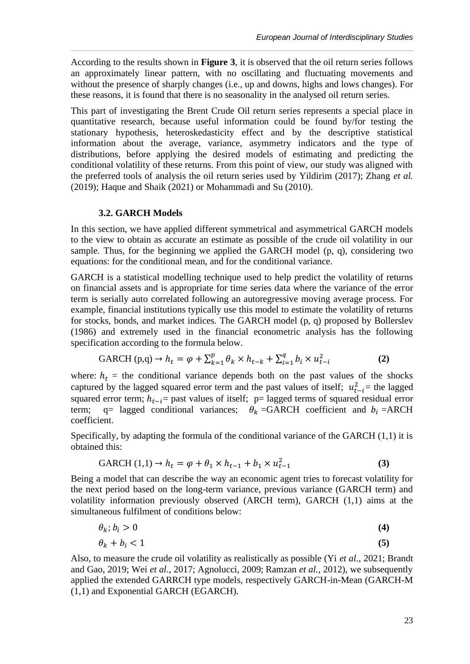According to the results shown in **Figure 3**, it is observed that the oil return series follows an approximately linear pattern, with no oscillating and fluctuating movements and without the presence of sharply changes (i.e., up and downs, highs and lows changes). For these reasons, it is found that there is no seasonality in the analysed oil return series.

This part of investigating the Brent Crude Oil return series represents a special place in quantitative research, because useful information could be found by/for testing the stationary hypothesis, heteroskedasticity effect and by the descriptive statistical information about the average, variance, asymmetry indicators and the type of distributions, before applying the desired models of estimating and predicting the conditional volatility of these returns. From this point of view, our study was aligned with the preferred tools of analysis the oil return series used by Yildirim (2017); Zhang *et al.*  (2019); Haque and Shaik (2021) or Mohammadi and Su (2010).

#### **3.2. GARCH Models**

In this section, we have applied different symmetrical and asymmetrical GARCH models to the view to obtain as accurate an estimate as possible of the crude oil volatility in our sample. Thus, for the beginning we applied the GARCH model (p, q), considering two equations: for the conditional mean, and for the conditional variance.

GARCH is a statistical modelling technique used to help predict the volatility of returns on financial assets and is appropriate for time series data where the variance of the error term is serially auto correlated following an autoregressive moving average process. For example, financial institutions typically use this model to estimate the volatility of returns for stocks, bonds, and market indices. The GARCH model (p, q) proposed by Bollerslev (1986) and extremely used in the financial econometric analysis has the following specification according to the formula below.

$$
GARCH (p,q) \to h_t = \varphi + \sum_{k=1}^{p} \theta_k \times h_{t-k} + \sum_{i=1}^{q} b_i \times u_{t-i}^2
$$
 (2)

where:  $h_t$  = the conditional variance depends both on the past values of the shocks captured by the lagged squared error term and the past values of itself;  $u_{t-i}^2$  = the lagged squared error term;  $h_{t-i}$ = past values of itself; p= lagged terms of squared residual error term; q= lagged conditional variances;  $\theta_k$  =GARCH coefficient and  $b_i$  =ARCH coefficient.

Specifically, by adapting the formula of the conditional variance of the GARCH (1,1) it is obtained this:

$$
GARCH (1,1) → ht = φ + θ1 × ht-1 + b1 × ut-12
$$
\n(3)

Being a model that can describe the way an economic agent tries to forecast volatility for the next period based on the long-term variance, previous variance (GARCH term) and volatility information previously observed (ARCH term), GARCH (1,1) aims at the simultaneous fulfilment of conditions below:

$$
\theta_k; b_i > 0 \tag{4}
$$

$$
\theta_k + b_i < 1 \tag{5}
$$

Also, to measure the crude oil volatility as realistically as possible (Yi *et al.*, 2021; Brandt and Gao, 2019; Wei *et al*., 2017; Agnolucci, 2009; Ramzan *et al.*, 2012), we subsequently applied the extended GARRCH type models, respectively GARCH-in-Mean (GARCH-M (1,1) and Exponential GARCH (EGARCH).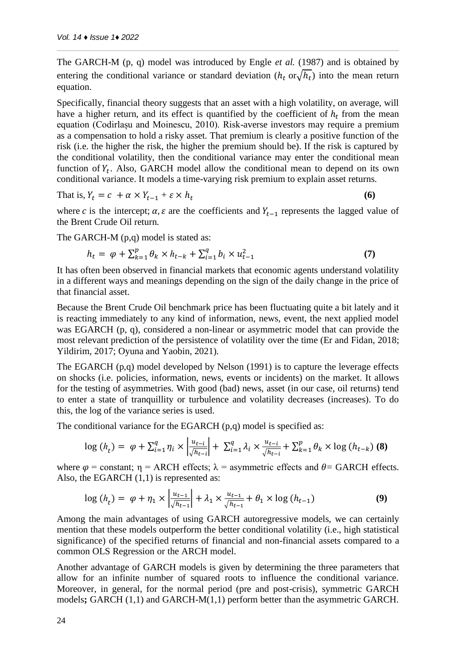The GARCH-M (p, q) model was introduced by Engle *et al.* (1987) and is obtained by entering the conditional variance or standard deviation  $(h_t \text{ or } \sqrt{h_t})$  into the mean return equation.

Specifically, financial theory suggests that an asset with a high volatility, on average, will have a higher return, and its effect is quantified by the coefficient of  $h_t$  from the mean equation (Codirlașu and Moinescu, 2010). Risk-averse investors may require a premium as a compensation to hold a risky asset. That premium is clearly a positive function of the risk (i.e. the higher the risk, the higher the premium should be). If the risk is captured by the conditional volatility, then the conditional variance may enter the conditional mean function of  $Y_t$ . Also, GARCH model allow the conditional mean to depend on its own conditional variance. It models a time-varying risk premium to explain asset returns.

That is, 
$$
Y_t = c + \alpha \times Y_{t-1} + \varepsilon \times h_t
$$
 (6)

where c is the intercept;  $\alpha$ ,  $\varepsilon$  are the coefficients and  $Y_{t-1}$  represents the lagged value of the Brent Crude Oil return.

The GARCH-M (p,q) model is stated as:

$$
h_{t} = \varphi + \sum_{k=1}^{p} \theta_{k} \times h_{t-k} + \sum_{i=1}^{q} b_{i} \times u_{t-1}^{2}
$$
\n<sup>(7)</sup>

It has often been observed in financial markets that economic agents understand volatility in a different ways and meanings depending on the sign of the daily change in the price of that financial asset.

Because the Brent Crude Oil benchmark price has been fluctuating quite a bit lately and it is reacting immediately to any kind of information, news, event, the next applied model was EGARCH (p, q), considered a non-linear or asymmetric model that can provide the most relevant prediction of the persistence of volatility over the time (Er and Fidan, 2018; Yildirim, 2017; Oyuna and Yaobin, 2021).

The EGARCH (p,q) model developed by Nelson (1991) is to capture the leverage effects on shocks (i.e. policies, information, news, events or incidents) on the market. It allows for the testing of asymmetries. With good (bad) news, asset (in our case, oil returns) tend to enter a state of tranquillity or turbulence and volatility decreases (increases). To do this, the log of the variance series is used.

The conditional variance for the EGARCH (p,q) model is specified as:

$$
\log(h_{t}) = \varphi + \sum_{i=1}^{q} \eta_{i} \times \left| \frac{u_{t-i}}{\sqrt{h_{t-i}}} \right| + \sum_{i=1}^{q} \lambda_{i} \times \frac{u_{t-i}}{\sqrt{h_{t-i}}} + \sum_{k=1}^{p} \theta_{k} \times \log(h_{t-k}) \tag{8}
$$

where  $\varphi$  = constant;  $\eta$  = ARCH effects;  $\lambda$  = asymmetric effects and  $\theta$  = GARCH effects. Also, the EGARCH  $(1,1)$  is represented as:

$$
\log(h_t) = \varphi + \eta_1 \times \left| \frac{u_{t-1}}{\sqrt{h_{t-1}}} \right| + \lambda_1 \times \frac{u_{t-1}}{\sqrt{h_{t-1}}} + \theta_1 \times \log(h_{t-1}) \tag{9}
$$

Among the main advantages of using GARCH autoregressive models, we can certainly mention that these models outperform the better conditional volatility (i.e., high statistical significance) of the specified returns of financial and non-financial assets compared to a common OLS Regression or the ARCH model.

Another advantage of GARCH models is given by determining the three parameters that allow for an infinite number of squared roots to influence the conditional variance. Moreover, in general, for the normal period (pre and post-crisis), symmetric GARCH models**;** GARCH (1,1) and GARCH-M(1,1) perform better than the asymmetric GARCH.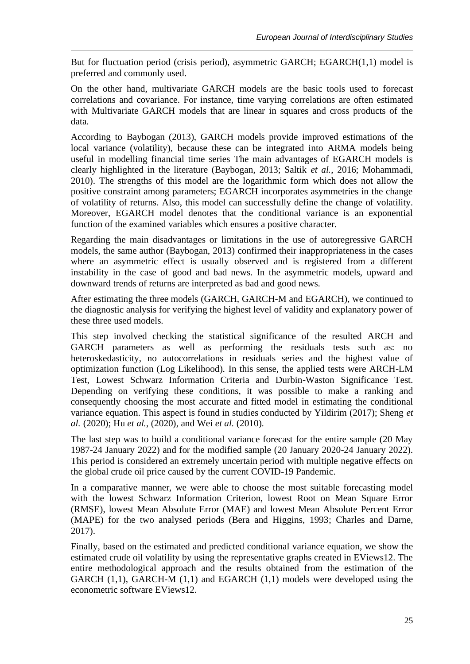But for fluctuation period (crisis period), asymmetric GARCH; EGARCH(1,1) model is preferred and commonly used.

On the other hand, multivariate GARCH models are the basic tools used to forecast correlations and covariance. For instance, time varying correlations are often estimated with Multivariate GARCH models that are linear in squares and cross products of the data.

According to Baybogan (2013), GARCH models provide improved estimations of the local variance (volatility), because these can be integrated into ARMA models being useful in modelling financial time series The main advantages of EGARCH models is clearly highlighted in the literature (Baybogan, 2013; Saltik *et al.*, 2016; Mohammadi, 2010). The strengths of this model are the logarithmic form which does not allow the positive constraint among parameters; EGARCH incorporates asymmetries in the change of volatility of returns. Also, this model can successfully define the change of volatility. Moreover, EGARCH model denotes that the conditional variance is an exponential function of the examined variables which ensures a positive character.

Regarding the main disadvantages or limitations in the use of autoregressive GARCH models, the same author (Baybogan, 2013) confirmed their inappropriateness in the cases where an asymmetric effect is usually observed and is registered from a different instability in the case of good and bad news. In the asymmetric models, upward and downward trends of returns are interpreted as bad and good news.

After estimating the three models (GARCH, GARCH-M and EGARCH), we continued to the diagnostic analysis for verifying the highest level of validity and explanatory power of these three used models.

This step involved checking the statistical significance of the resulted ARCH and GARCH parameters as well as performing the residuals tests such as: no heteroskedasticity, no autocorrelations in residuals series and the highest value of optimization function (Log Likelihood). In this sense, the applied tests were ARCH-LM Test, Lowest Schwarz Information Criteria and Durbin-Waston Significance Test. Depending on verifying these conditions, it was possible to make a ranking and consequently choosing the most accurate and fitted model in estimating the conditional variance equation. This aspect is found in studies conducted by Yildirim (2017); Sheng *et al.* (2020); Hu *et al.*, (2020), and Wei *et al.* (2010).

The last step was to build a conditional variance forecast for the entire sample (20 May 1987-24 January 2022) and for the modified sample (20 January 2020-24 January 2022). This period is considered an extremely uncertain period with multiple negative effects on the global crude oil price caused by the current COVID-19 Pandemic.

In a comparative manner, we were able to choose the most suitable forecasting model with the lowest Schwarz Information Criterion, lowest Root on Mean Square Error (RMSE), lowest Mean Absolute Error (MAE) and lowest Mean Absolute Percent Error (MAPE) for the two analysed periods (Bera and Higgins, 1993; Charles and Darne, 2017).

Finally, based on the estimated and predicted conditional variance equation, we show the estimated crude oil volatility by using the representative graphs created in EViews12. The entire methodological approach and the results obtained from the estimation of the GARCH  $(1,1)$ , GARCH-M  $(1,1)$  and EGARCH  $(1,1)$  models were developed using the econometric software EViews12.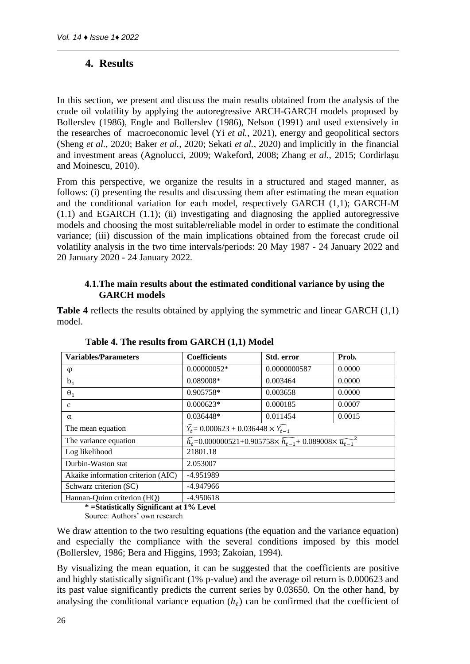# **4. Results**

In this section, we present and discuss the main results obtained from the analysis of the crude oil volatility by applying the autoregressive ARCH-GARCH models proposed by Bollerslev (1986), Engle and Bollerslev (1986), Nelson (1991) and used extensively in the researches of macroeconomic level (Yi *et al.*, 2021), energy and geopolitical sectors (Sheng *et al.*, 2020; Baker *et al.*, 2020; Sekati *et al.*, 2020) and implicitly in the financial and investment areas (Agnolucci, 2009; Wakeford, 2008; Zhang *et al.*, 2015; Cordirlașu and Moinescu, 2010).

From this perspective, we organize the results in a structured and staged manner, as follows: (i) presenting the results and discussing them after estimating the mean equation and the conditional variation for each model, respectively GARCH (1,1); GARCH-M  $(1.1)$  and EGARCH  $(1.1)$ ; (ii) investigating and diagnosing the applied autoregressive models and choosing the most suitable/reliable model in order to estimate the conditional variance; (iii) discussion of the main implications obtained from the forecast crude oil volatility analysis in the two time intervals/periods: 20 May 1987 - 24 January 2022 and 20 January 2020 - 24 January 2022.

### **4.1.The main results about the estimated conditional variance by using the GARCH models**

**Table 4** reflects the results obtained by applying the symmetric and linear GARCH (1,1) model.

| <b>Variables/Parameters</b>        | <b>Coefficients</b>                                                                                    | Std. error   | Prob.  |  |
|------------------------------------|--------------------------------------------------------------------------------------------------------|--------------|--------|--|
| φ                                  | $0.00000052*$                                                                                          | 0.0000000587 | 0.0000 |  |
| $b_1$                              | 0.089008*                                                                                              | 0.003464     | 0.0000 |  |
| $\theta_1$                         | 0.905758*                                                                                              | 0.003658     | 0.0000 |  |
| C                                  | $0.000623*$                                                                                            | 0.000185     | 0.0007 |  |
| $\alpha$                           | $0.036448*$                                                                                            | 0.011454     | 0.0015 |  |
| The mean equation                  | $\widehat{Y}_t = 0.000623 + 0.036448 \times \widehat{Y}_{t-1}$                                         |              |        |  |
| The variance equation              | $\widehat{h_t}$ =0.000000521+0.905758× $\widehat{h_{t-1}}$ +0.089008× $\widehat{u_{t-1}}$ <sup>2</sup> |              |        |  |
| Log likelihood                     | 21801.18                                                                                               |              |        |  |
| Durbin-Waston stat                 | 2.053007                                                                                               |              |        |  |
| Akaike information criterion (AIC) | -4.951989                                                                                              |              |        |  |
| Schwarz criterion (SC)             | $-4.947966$                                                                                            |              |        |  |
| Hannan-Quinn criterion (HQ)        | $-4.950618$                                                                                            |              |        |  |

**Table 4. The results from GARCH (1,1) Model**

**\* =Statistically Significant at 1% Level**

Source: Authors' own research

We draw attention to the two resulting equations (the equation and the variance equation) and especially the compliance with the several conditions imposed by this model (Bollerslev, 1986; Bera and Higgins, 1993; Zakoian, 1994).

By visualizing the mean equation, it can be suggested that the coefficients are positive and highly statistically significant (1% p-value) and the average oil return is 0.000623 and its past value significantly predicts the current series by 0.03650. On the other hand, by analysing the conditional variance equation  $(h_t)$  can be confirmed that the coefficient of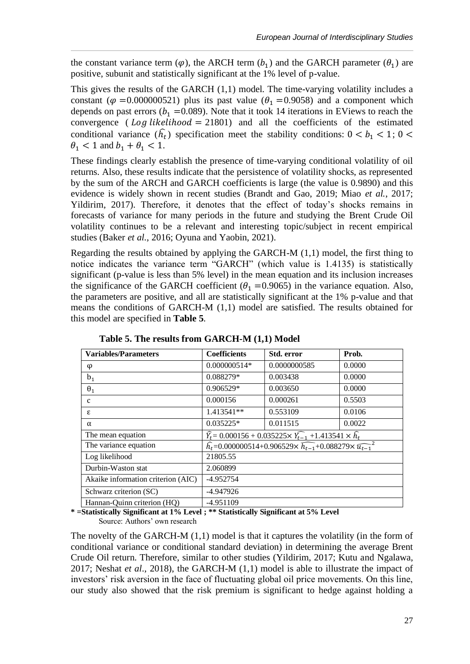the constant variance term ( $\varphi$ ), the ARCH term ( $b_1$ ) and the GARCH parameter ( $\theta_1$ ) are positive, subunit and statistically significant at the 1% level of p-value.

This gives the results of the GARCH (1,1) model. The time-varying volatility includes a constant ( $\varphi$  =0.000000521) plus its past value ( $\theta_1$  =0.9058) and a component which depends on past errors ( $b_1$  =0.089). Note that it took 14 iterations in EViews to reach the convergence ( $Log likelihood = 21801$ ) and all the coefficients of the estimated conditional variance  $(h_t)$  specification meet the stability conditions:  $0 < b_1 < 1$ ;  $0 <$  $\theta_1 < 1$  and  $b_1 + \theta_1 < 1$ .

These findings clearly establish the presence of time-varying conditional volatility of oil returns. Also, these results indicate that the persistence of volatility shocks, as represented by the sum of the ARCH and GARCH coefficients is large (the value is 0.9890) and this evidence is widely shown in recent studies (Brandt and Gao, 2019; Miao *et al.*, 2017; Yildirim, 2017). Therefore, it denotes that the effect of today's shocks remains in forecasts of variance for many periods in the future and studying the Brent Crude Oil volatility continues to be a relevant and interesting topic/subject in recent empirical studies (Baker *et al.*, 2016; Oyuna and Yaobin, 2021).

Regarding the results obtained by applying the GARCH-M (1,1) model, the first thing to notice indicates the variance term "GARCH" (which value is 1.4135) is statistically significant (p-value is less than 5% level) in the mean equation and its inclusion increases the significance of the GARCH coefficient ( $\theta_1$  =0.9065) in the variance equation. Also, the parameters are positive, and all are statistically significant at the 1% p-value and that means the conditions of GARCH-M (1,1) model are satisfied. The results obtained for this model are specified in **Table 5**.

| <b>Variables/Parameters</b>        | <b>Coefficients</b> | Std. error                                                                                               | Prob.  |  |
|------------------------------------|---------------------|----------------------------------------------------------------------------------------------------------|--------|--|
| φ                                  | 0.000000514*        | 0.0000000585                                                                                             | 0.0000 |  |
| b <sub>1</sub>                     | 0.088279*           | 0.003438                                                                                                 | 0.0000 |  |
| $\theta_1$                         | $0.906529*$         | 0.003650                                                                                                 | 0.0000 |  |
| C                                  | 0.000156            | 0.000261                                                                                                 | 0.5503 |  |
| ε                                  | 1.413541**          | 0.553109                                                                                                 | 0.0106 |  |
| $\alpha$                           | $0.035225*$         | 0.011515                                                                                                 | 0.0022 |  |
| The mean equation                  |                     | $\widehat{Y}_t$ = 0.000156 + 0.035225× $\widehat{Y}_{t-1}$ +1.413541 × $\widehat{h}_t$                   |        |  |
| The variance equation              |                     | $\widehat{h_{t}}$ =0.000000514+0.906529× $\widehat{h_{t-1}}$ +0.088279× $\widehat{u_{t-1}}$ <sup>2</sup> |        |  |
| Log likelihood                     | 21805.55            |                                                                                                          |        |  |
| Durbin-Waston stat                 | 2.060899            |                                                                                                          |        |  |
| Akaike information criterion (AIC) | $-4.952754$         |                                                                                                          |        |  |
| Schwarz criterion (SC)             | $-4.947926$         |                                                                                                          |        |  |
| Hannan-Quinn criterion (HQ)        | $-4.951109$         |                                                                                                          |        |  |

**Table 5. The results from GARCH-M (1,1) Model**

**\* =Statistically Significant at 1% Level ; \*\* Statistically Significant at 5% Level** Source: Authors' own research

The novelty of the GARCH-M  $(1,1)$  model is that it captures the volatility (in the form of conditional variance or conditional standard deviation) in determining the average Brent Crude Oil return. Therefore, similar to other studies (Yildirim, 2017; Kutu and Ngalawa, 2017; Neshat *et al*., 2018), the GARCH-M (1,1) model is able to illustrate the impact of investors' risk aversion in the face of fluctuating global oil price movements. On this line, our study also showed that the risk premium is significant to hedge against holding a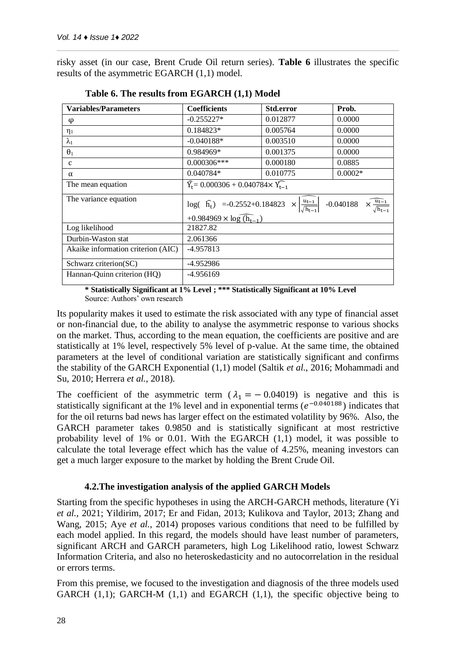risky asset (in our case, Brent Crude Oil return series). **Table 6** illustrates the specific results of the asymmetric EGARCH (1,1) model.

| <b>Variables/Parameters</b>        | <b>Coefficients</b>                                                                                                                        | Std.error | Prob.                                              |
|------------------------------------|--------------------------------------------------------------------------------------------------------------------------------------------|-----------|----------------------------------------------------|
| φ                                  | $-0.255227*$                                                                                                                               | 0.012877  | 0.0000                                             |
| $\eta_1$                           | $0.184823*$                                                                                                                                | 0.005764  | 0.0000                                             |
| $\lambda_1$                        | $-0.040188*$                                                                                                                               | 0.003510  | 0.0000                                             |
| $\theta_1$                         | 0.984969*                                                                                                                                  | 0.001375  | 0.0000                                             |
| C                                  | $0.000306***$                                                                                                                              | 0.000180  | 0.0885                                             |
| $\alpha$                           | $0.040784*$                                                                                                                                | 0.010775  | $0.0002*$                                          |
| The mean equation                  | $\widehat{Y}_{t} = 0.000306 + 0.040784 \times \widehat{Y}_{t-1}$                                                                           |           |                                                    |
| The variance equation              | $log( \hat{h}_t)$ =-0.2552+0.184823 $\times \left  \frac{u_{t-1}}{\sqrt{h_{t-1}}} \right $ -0.040188<br>+0.984969 $\times$ log $(h_{t-1})$ |           | $\times \frac{\overline{u_{t-1}}}{\sqrt{h_{t-1}}}$ |
| Log likelihood                     | 21827.82                                                                                                                                   |           |                                                    |
| Durbin-Waston stat                 | 2.061366                                                                                                                                   |           |                                                    |
| Akaike information criterion (AIC) | $-4.957813$                                                                                                                                |           |                                                    |
| Schwarz criterion(SC)              | -4.952986                                                                                                                                  |           |                                                    |
| Hannan-Quinn criterion (HQ)        | -4.956169                                                                                                                                  |           |                                                    |

| Table 6. The results from EGARCH (1,1) Model |  |
|----------------------------------------------|--|
|----------------------------------------------|--|

**\* Statistically Significant at 1% Level ; \*\*\* Statistically Significant at 10% Level** Source: Authors' own research

Its popularity makes it used to estimate the risk associated with any type of financial asset or non-financial due, to the ability to analyse the asymmetric response to various shocks on the market. Thus, according to the mean equation, the coefficients are positive and are statistically at 1% level, respectively 5% level of p-value. At the same time, the obtained parameters at the level of conditional variation are statistically significant and confirms the stability of the GARCH Exponential (1,1) model (Saltik *et al.*, 2016; Mohammadi and Su, 2010; Herrera *et al.*, 2018).

The coefficient of the asymmetric term ( $\lambda_1 = -0.04019$ ) is negative and this is statistically significant at the 1% level and in exponential terms  $(e^{-0.040188})$  indicates that for the oil returns bad news has larger effect on the estimated volatility by 96%. Also, the GARCH parameter takes 0.9850 and is statistically significant at most restrictive probability level of 1% or 0.01. With the EGARCH (1,1) model, it was possible to calculate the total leverage effect which has the value of 4.25%, meaning investors can get a much larger exposure to the market by holding the Brent Crude Oil.

### **4.2.The investigation analysis of the applied GARCH Models**

Starting from the specific hypotheses in using the ARCH-GARCH methods, literature (Yi *et al.*, 2021; Yildirim, 2017; Er and Fidan, 2013; Kulikova and Taylor, 2013; Zhang and Wang, 2015; Aye *et al.*, 2014) proposes various conditions that need to be fulfilled by each model applied. In this regard, the models should have least number of parameters, significant ARCH and GARCH parameters, high Log Likelihood ratio, lowest Schwarz Information Criteria, and also no heteroskedasticity and no autocorrelation in the residual or errors terms.

From this premise, we focused to the investigation and diagnosis of the three models used GARCH  $(1,1)$ ; GARCH-M  $(1,1)$  and EGARCH  $(1,1)$ , the specific objective being to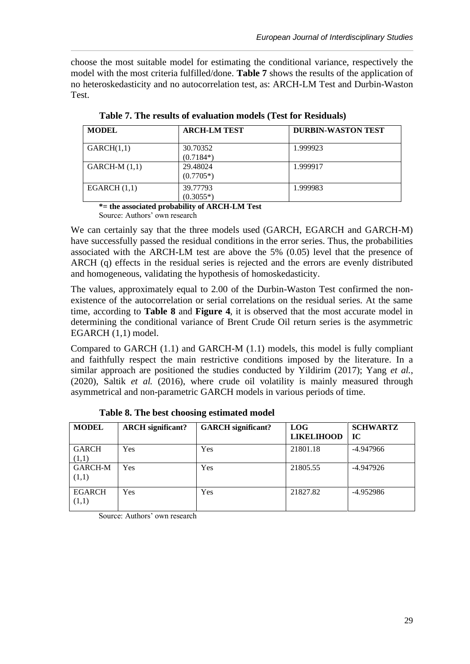choose the most suitable model for estimating the conditional variance, respectively the model with the most criteria fulfilled/done. **Table 7** shows the results of the application of no heteroskedasticity and no autocorrelation test, as: ARCH-LM Test and Durbin-Waston Test.

| <b>MODEL</b>                                                                                   | <b>ARCH-LM TEST</b>                                                           | <b>DURBIN-WASTON TEST</b> |
|------------------------------------------------------------------------------------------------|-------------------------------------------------------------------------------|---------------------------|
| GARCH(1,1)                                                                                     | 30.70352<br>$(0.7184*)$                                                       | 1.999923                  |
| $GARCH-M(1,1)$                                                                                 | 29.48024<br>$(0.7705*)$                                                       | 1.999917                  |
| EGARCH $(1,1)$<br>$\mathbf{a}$ $\mathbf{b}$ $\mathbf{c}$ $\mathbf{d}$ $\mathbf{d}$<br>$\cdots$ | 39.77793<br>$(0.3055*)$<br>.<br>$\theta$ in $\theta$ is the state of $\theta$ | 1.999983                  |

**Table 7. The results of evaluation models (Test for Residuals)**

**\*= the associated probability of ARCH-LM Test** Source: Authors' own research

We can certainly say that the three models used (GARCH, EGARCH and GARCH-M) have successfully passed the residual conditions in the error series. Thus, the probabilities associated with the ARCH-LM test are above the 5% (0.05) level that the presence of ARCH (q) effects in the residual series is rejected and the errors are evenly distributed and homogeneous, validating the hypothesis of homoskedasticity.

The values, approximately equal to 2.00 of the Durbin-Waston Test confirmed the nonexistence of the autocorrelation or serial correlations on the residual series. At the same time, according to **Table 8** and **Figure 4**, it is observed that the most accurate model in determining the conditional variance of Brent Crude Oil return series is the asymmetric EGARCH (1,1) model.

Compared to GARCH (1.1) and GARCH-M (1.1) models, this model is fully compliant and faithfully respect the main restrictive conditions imposed by the literature. In a similar approach are positioned the studies conducted by Yildirim (2017); Yang *et al.*, (2020), Saltik *et al.* (2016), where crude oil volatility is mainly measured through asymmetrical and non-parametric GARCH models in various periods of time.

| <b>MODEL</b>            | <b>ARCH</b> significant? | <b>GARCH</b> significant? | <b>LOG</b><br><b>LIKELIHOOD</b> | <b>SCHWARTZ</b><br>IC |
|-------------------------|--------------------------|---------------------------|---------------------------------|-----------------------|
| <b>GARCH</b><br>(1,1)   | Yes                      | Yes                       | 21801.18                        | -4.947966             |
| <b>GARCH-M</b><br>(1,1) | Yes                      | Yes                       | 21805.55                        | -4.947926             |
| <b>EGARCH</b><br>(1,1)  | Yes                      | Yes                       | 21827.82                        | $-4.952986$           |

**Table 8. The best choosing estimated model**

Source: Authors' own research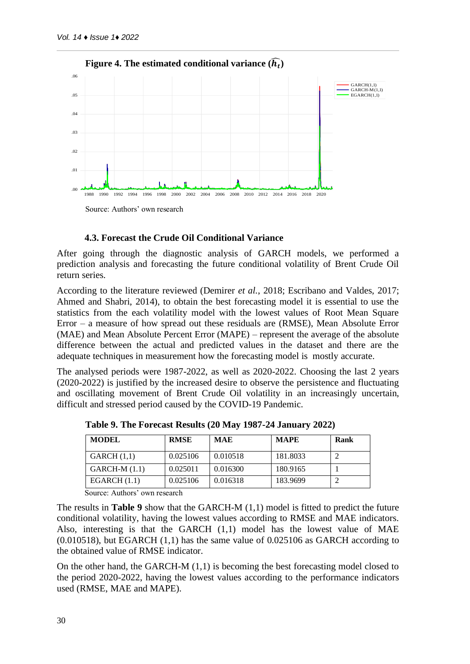

#### **4.3. Forecast the Crude Oil Conditional Variance**

After going through the diagnostic analysis of GARCH models, we performed a prediction analysis and forecasting the future conditional volatility of Brent Crude Oil return series.

According to the literature reviewed (Demirer *et al.*, 2018; Escribano and Valdes, 2017; Ahmed and Shabri, 2014), to obtain the best forecasting model it is essential to use the statistics from the each volatility model with the lowest values of Root Mean Square Error – a measure of how spread out these residuals are (RMSE), Mean Absolute Error (MAE) and Mean Absolute Percent Error (MAPE) – represent the average of the absolute difference between the actual and predicted values in the dataset and there are the adequate techniques in measurement how the forecasting model is mostly accurate.

The analysed periods were 1987-2022, as well as 2020-2022. Choosing the last 2 years (2020-2022) is justified by the increased desire to observe the persistence and fluctuating and oscillating movement of Brent Crude Oil volatility in an increasingly uncertain, difficult and stressed period caused by the COVID-19 Pandemic.

| <b>MODEL</b>    | <b>RMSE</b> | <b>MAE</b> | <b>MAPE</b> | Rank |
|-----------------|-------------|------------|-------------|------|
| GARCH(1,1)      | 0.025106    | 0.010518   | 181.8033    |      |
| $GARCH-M (1.1)$ | 0.025011    | 0.016300   | 180.9165    |      |
| EGARCH $(1.1)$  | 0.025106    | 0.016318   | 183.9699    |      |

**Table 9. The Forecast Results (20 May 1987-24 January 2022)**

Source: Authors' own research

The results in **Table 9** show that the GARCH-M (1,1) model is fitted to predict the future conditional volatility, having the lowest values according to RMSE and MAE indicators. Also, interesting is that the GARCH  $(1,1)$  model has the lowest value of MAE (0.010518), but EGARCH (1,1) has the same value of 0.025106 as GARCH according to the obtained value of RMSE indicator.

On the other hand, the GARCH-M (1,1) is becoming the best forecasting model closed to the period 2020-2022, having the lowest values according to the performance indicators used (RMSE, MAE and MAPE).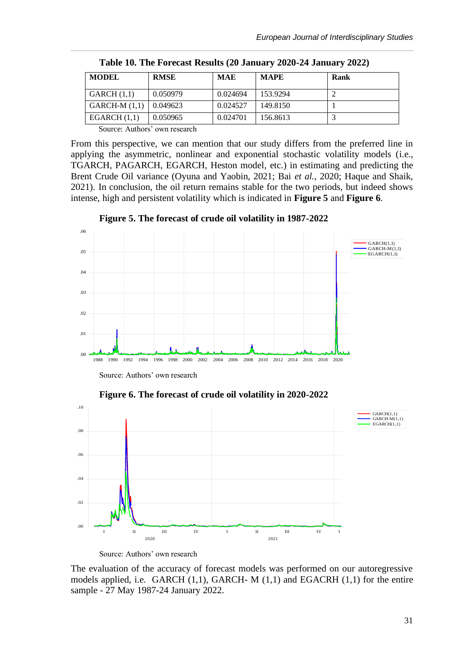| <b>MODEL</b>   | <b>RMSE</b> | <b>MAE</b> | <b>MAPE</b> | Rank |
|----------------|-------------|------------|-------------|------|
| GARCH(1,1)     | 0.050979    | 0.024694   | 153.9294    |      |
| $GARCH-M(1,1)$ | 0.049623    | 0.024527   | 149.8150    |      |
| EGARCH $(1,1)$ | 0.050965    | 0.024701   | 156.8613    |      |

**Table 10. The Forecast Results (20 January 2020-24 January 2022)**

Source: Authors' own research

From this perspective, we can mention that our study differs from the preferred line in applying the asymmetric, nonlinear and exponential stochastic volatility models (i.e., TGARCH, PAGARCH, EGARCH, Heston model, etc.) in estimating and predicting the Brent Crude Oil variance (Oyuna and Yaobin, 2021; Bai *et al.*, 2020; Haque and Shaik, 2021). In conclusion, the oil return remains stable for the two periods, but indeed shows intense, high and persistent volatility which is indicated in **Figure 5** and **Figure 6**.

.00 .01 .02 .03 .04 .05 .06 1988 1990 1992 1994 1996 1998 2000 2002 2004 2006 2008 2010 2012 2014 2016 2018 2020 GARCH(1,1)  $GARTH-M(1,1)$  $EGARCH(1,1)$ 

**Figure 5. The forecast of crude oil volatility in 1987-2022**

Source: Authors' own research

**Figure 6. The forecast of crude oil volatility in 2020-2022**



Source: Authors' own research

The evaluation of the accuracy of forecast models was performed on our autoregressive models applied, i.e. GARCH (1,1), GARCH- M (1,1) and EGACRH (1,1) for the entire sample - 27 May 1987-24 January 2022.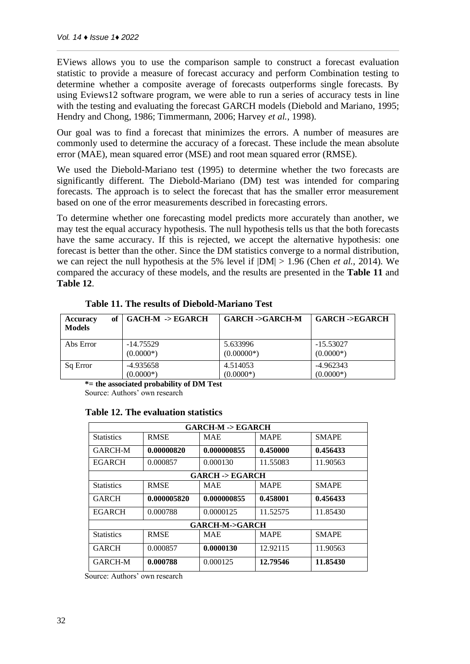EViews allows you to use the comparison sample to construct a forecast evaluation statistic to provide a measure of forecast accuracy and perform Combination testing to determine whether a composite average of forecasts outperforms single forecasts. By using Eviews12 software program, we were able to run a series of accuracy tests in line with the testing and evaluating the forecast GARCH models (Diebold and Mariano, 1995; Hendry and Chong, 1986; Timmermann, 2006; Harvey *et al.*, 1998).

Our goal was to find a forecast that minimizes the errors. A number of measures are commonly used to determine the accuracy of a forecast. These include the mean absolute error (MAE), mean squared error (MSE) and root mean squared error (RMSE).

We used the Diebold-Mariano test (1995) to determine whether the two forecasts are significantly different. The Diebold-Mariano (DM) test was intended for comparing forecasts. The approach is to select the forecast that has the smaller error measurement based on one of the error measurements described in [forecasting errors.](https://www.real-statistics.com/time-series-analysis/forecasting-accuracy/time-series-forecast-error/)

To determine whether one forecasting model predicts more accurately than another, we may test the equal accuracy hypothesis. The null hypothesis tells us that the both forecasts have the same accuracy. If this is rejected, we accept the alternative hypothesis: one forecast is better than the other. Since the DM statistics converge to a normal distribution, we can reject the null hypothesis at the 5% level if |DM| > 1.96 (Chen *et al.*, 2014). We compared the accuracy of these models, and the results are presented in the **Table 11** and **Table 12**.

| of<br><b>Accuracy</b><br><b>Models</b> | $GACH-M \rightarrow EGARCH$ | <b>GARCH -&gt;GARCH-M</b> | <b>GARCH -&gt;EGARCH</b> |
|----------------------------------------|-----------------------------|---------------------------|--------------------------|
| Abs Error                              | -14.75529                   | 5.633996                  | $-15.53027$              |
|                                        | $(0.0000*)$                 | $(0.00000*)$              | $(0.0000*)$              |
| Sq Error                               | -4.935658                   | 4.514053                  | $-4.962343$              |
|                                        | $(0.0000*)$                 | $(0.0000*)$               | $(0.0000*)$              |

**Table 11. The results of Diebold-Mariano Test**

**\*= the associated probability of DM Test**

Source: Authors' own research

### **Table 12. The evaluation statistics**

| <b>GARCH-M -&gt; EGARCH</b> |             |             |             |              |  |  |
|-----------------------------|-------------|-------------|-------------|--------------|--|--|
| <b>Statistics</b>           | <b>RMSE</b> | <b>MAE</b>  | <b>MAPE</b> | <b>SMAPE</b> |  |  |
| <b>GARCH-M</b>              | 0.00000820  | 0.000000855 | 0.450000    | 0.456433     |  |  |
| <b>EGARCH</b>               | 0.000857    | 0.000130    | 11.55083    | 11.90563     |  |  |
| <b>GARCH -&gt; EGARCH</b>   |             |             |             |              |  |  |
| <b>Statistics</b>           | <b>RMSE</b> | <b>MAE</b>  | <b>MAPE</b> | <b>SMAPE</b> |  |  |
| <b>GARCH</b>                | 0.000005820 | 0.000000855 | 0.458001    | 0.456433     |  |  |
| <b>EGARCH</b>               | 0.000788    | 0.0000125   | 11.52575    | 11.85430     |  |  |
| <b>GARCH-M-&gt;GARCH</b>    |             |             |             |              |  |  |
| <b>Statistics</b>           | <b>RMSE</b> | <b>MAE</b>  | <b>MAPE</b> | <b>SMAPE</b> |  |  |
| <b>GARCH</b>                | 0.000857    | 0.0000130   | 12.92115    | 11.90563     |  |  |
| <b>GARCH-M</b>              | 0.000788    | 0.000125    | 12.79546    | 11.85430     |  |  |

Source: Authors' own research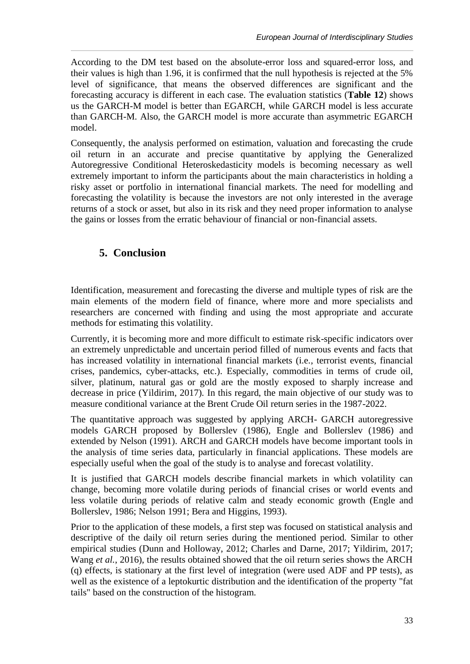According to the DM test based on the absolute-error loss and squared-error loss, and their values is high than 1.96, it is confirmed that the null hypothesis is rejected at the 5% level of significance, that means the observed differences are significant and the forecasting accuracy is different in each case. The evaluation statistics (**Table 12**) shows us the GARCH-M model is better than EGARCH, while GARCH model is less accurate than GARCH-M. Also, the GARCH model is more accurate than asymmetric EGARCH model.

Consequently, the analysis performed on estimation, valuation and forecasting the crude oil return in an accurate and precise quantitative by applying the Generalized Autoregressive Conditional Heteroskedasticity models is becoming necessary as well extremely important to inform the participants about the main characteristics in holding a risky asset or portfolio in international financial markets. The need for modelling and forecasting the volatility is because the investors are not only interested in the average returns of a stock or asset, but also in its risk and they need proper information to analyse the gains or losses from the erratic behaviour of financial or non-financial assets.

## **5. Conclusion**

Identification, measurement and forecasting the diverse and multiple types of risk are the main elements of the modern field of finance, where more and more specialists and researchers are concerned with finding and using the most appropriate and accurate methods for estimating this volatility.

Currently, it is becoming more and more difficult to estimate risk-specific indicators over an extremely unpredictable and uncertain period filled of numerous events and facts that has increased volatility in international financial markets (i.e., terrorist events, financial crises, pandemics, cyber-attacks, etc.). Especially, commodities in terms of crude oil, silver, platinum, natural gas or gold are the mostly exposed to sharply increase and decrease in price (Yildirim, 2017). In this regard, the main objective of our study was to measure conditional variance at the Brent Crude Oil return series in the 1987-2022.

The quantitative approach was suggested by applying ARCH- GARCH autoregressive models GARCH proposed by Bollerslev (1986), Engle and Bollerslev (1986) and extended by Nelson (1991). ARCH and GARCH models have become important tools in the analysis of time series data, particularly in financial applications. These models are especially useful when the goal of the study is to analyse and forecast volatility.

It is justified that GARCH models describe financial markets in which volatility can change, becoming more volatile during periods of financial crises or world events and less volatile during periods of relative calm and steady economic growth (Engle and Bollerslev, 1986; Nelson 1991; Bera and Higgins, 1993).

Prior to the application of these models, a first step was focused on statistical analysis and descriptive of the daily oil return series during the mentioned period. Similar to other empirical studies (Dunn and Holloway, 2012; Charles and Darne, 2017; Yildirim, 2017; Wang *et al.*, 2016), the results obtained showed that the oil return series shows the ARCH (q) effects, is stationary at the first level of integration (were used ADF and PP tests), as well as the existence of a leptokurtic distribution and the identification of the property "fat tails" based on the construction of the histogram.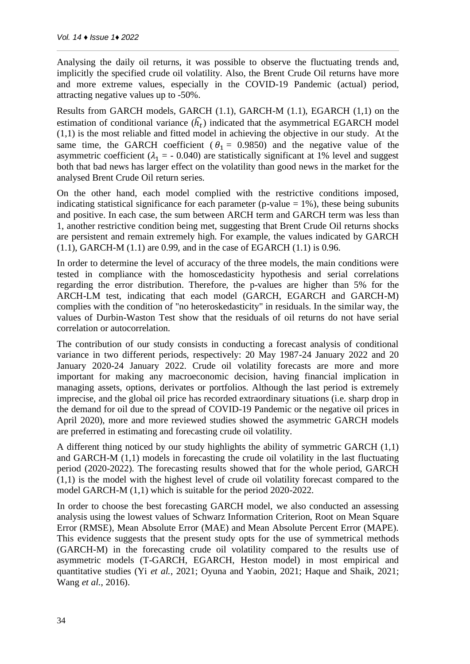Analysing the daily oil returns, it was possible to observe the fluctuating trends and, implicitly the specified crude oil volatility. Also, the Brent Crude Oil returns have more and more extreme values, especially in the COVID-19 Pandemic (actual) period, attracting negative values up to -50%.

Results from GARCH models, GARCH (1.1), GARCH-M (1.1), EGARCH (1,1) on the estimation of conditional variance  $(h_t)$  indicated that the asymmetrical EGARCH model (1,1) is the most reliable and fitted model in achieving the objective in our study. At the same time, the GARCH coefficient ( $\theta_1 = 0.9850$ ) and the negative value of the asymmetric coefficient ( $\lambda_1$  = - 0.040) are statistically significant at 1% level and suggest both that bad news has larger effect on the volatility than good news in the market for the analysed Brent Crude Oil return series.

On the other hand, each model complied with the restrictive conditions imposed, indicating statistical significance for each parameter (p-value  $= 1\%$ ), these being subunits and positive. In each case, the sum between ARCH term and GARCH term was less than 1, another restrictive condition being met, suggesting that Brent Crude Oil returns shocks are persistent and remain extremely high. For example, the values indicated by GARCH (1.1), GARCH-M (1.1) are 0.99, and in the case of EGARCH (1.1) is 0.96.

In order to determine the level of accuracy of the three models, the main conditions were tested in compliance with the homoscedasticity hypothesis and serial correlations regarding the error distribution. Therefore, the p-values are higher than 5% for the ARCH-LM test, indicating that each model (GARCH, EGARCH and GARCH-M) complies with the condition of "no heteroskedasticity" in residuals. In the similar way, the values of Durbin-Waston Test show that the residuals of oil returns do not have serial correlation or autocorrelation.

The contribution of our study consists in conducting a forecast analysis of conditional variance in two different periods, respectively: 20 May 1987-24 January 2022 and 20 January 2020-24 January 2022. Crude oil volatility forecasts are more and more important for making any macroeconomic decision, having financial implication in managing assets, options, derivates or portfolios. Although the last period is extremely imprecise, and the global oil price has recorded extraordinary situations (i.e. sharp drop in the demand for oil due to the spread of COVID-19 Pandemic or the negative oil prices in April 2020), more and more reviewed studies showed the asymmetric GARCH models are preferred in estimating and forecasting crude oil volatility.

A different thing noticed by our study highlights the ability of symmetric GARCH (1,1) and GARCH-M (1,1) models in forecasting the crude oil volatility in the last fluctuating period (2020-2022). The forecasting results showed that for the whole period, GARCH (1,1) is the model with the highest level of crude oil volatility forecast compared to the model GARCH-M (1,1) which is suitable for the period 2020-2022.

In order to choose the best forecasting GARCH model, we also conducted an assessing analysis using the lowest values of Schwarz Information Criterion, Root on Mean Square Error (RMSE), Mean Absolute Error (MAE) and Mean Absolute Percent Error (MAPE). This evidence suggests that the present study opts for the use of symmetrical methods (GARCH-M) in the forecasting crude oil volatility compared to the results use of asymmetric models (T-GARCH, EGARCH, Heston model) in most empirical and quantitative studies (Yi *et al.*, 2021; Oyuna and Yaobin, 2021; Haque and Shaik, 2021; Wang *et al.*, 2016).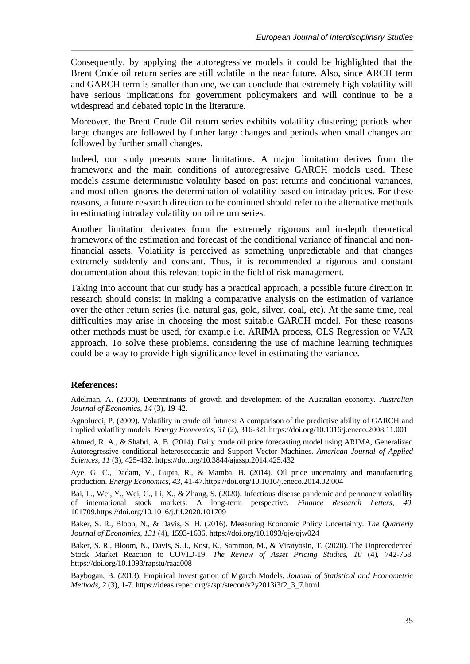Consequently, by applying the autoregressive models it could be highlighted that the Brent Crude oil return series are still volatile in the near future. Also, since ARCH term and GARCH term is smaller than one, we can conclude that extremely high volatility will have serious implications for government policymakers and will continue to be a widespread and debated topic in the literature.

Moreover, the Brent Crude Oil return series exhibits volatility clustering; periods when large changes are followed by further large changes and periods when small changes are followed by further small changes.

Indeed, our study presents some limitations. A major limitation derives from the framework and the main conditions of autoregressive GARCH models used. These models assume deterministic volatility based on past returns and conditional variances, and most often ignores the determination of volatility based on intraday prices. For these reasons, a future research direction to be continued should refer to the alternative methods in estimating intraday volatility on oil return series.

Another limitation derivates from the extremely rigorous and in-depth theoretical framework of the estimation and forecast of the conditional variance of financial and nonfinancial assets. Volatility is perceived as something unpredictable and that changes extremely suddenly and constant. Thus, it is recommended a rigorous and constant documentation about this relevant topic in the field of risk management.

Taking into account that our study has a practical approach, a possible future direction in research should consist in making a comparative analysis on the estimation of variance over the other return series (i.e. natural gas, gold, silver, coal, etc). At the same time, real difficulties may arise in choosing the most suitable GARCH model. For these reasons other methods must be used, for example i.e. ARIMA process, OLS Regression or VAR approach. To solve these problems, considering the use of machine learning techniques could be a way to provide high significance level in estimating the variance.

#### **References:**

Adelman, A. (2000). Determinants of growth and development of the Australian economy. *Australian Journal of Economics, 14* (3), 19-42.

Agnolucci, P. (2009). Volatility in crude oil futures: A comparison of the predictive ability of GARCH and implied volatility models. *Energy Economics, 31* (2), 316-321.https://doi.org/10.1016/j.eneco.2008.11.001

Ahmed, R. A., & Shabri, A. B. (2014). Daily crude oil price forecasting model using ARIMA, Generalized Autoregressive conditional heteroscedastic and Support Vector Machines. *American Journal of Applied Sciences, 11* (3), 425-432. https://doi.org/10.3844/ajassp.2014.425.432

Aye, G. C., Dadam, V., Gupta, R., & Mamba, B. (2014). Oil price uncertainty and manufacturing production. *Energy Economics, 43*, 41-47.https://doi.org/10.1016/j.eneco.2014.02.004

Bai, L., Wei, Y., Wei, G., Li, X., & Zhang, S. (2020). Infectious disease pandemic and permanent volatility of international stock markets: A long-term perspective. *Finance Research Letters, 40*, 101709.https://doi.org/10.1016/j.frl.2020.101709

Baker, S. R., Bloon, N., & Davis, S. H. (2016). Measuring Economic Policy Uncertainty. *The Quarterly Journal of Economics, 131* (4), 1593-1636. https://doi.org/10.1093/qje/qjw024

Baker, S. R., Bloom, N., Davis, S. J., Kost, K., Sammon, M., & Viratyosin, T. (2020). The Unprecedented Stock Market Reaction to COVID-19. *The Review of Asset Pricing Studies, 10* (4), 742-758. https://doi.org/10.1093/rapstu/raaa008

Baybogan, B. (2013). Empirical Investigation of Mgarch Models. *Journal of Statistical and Econometric Methods, 2* (3), 1-7. [https://ideas.repec.org/a/spt/stecon/v2y2013i3f2\\_3\\_7.html](https://ideas.repec.org/a/spt/stecon/v2y2013i3f2_3_7.html)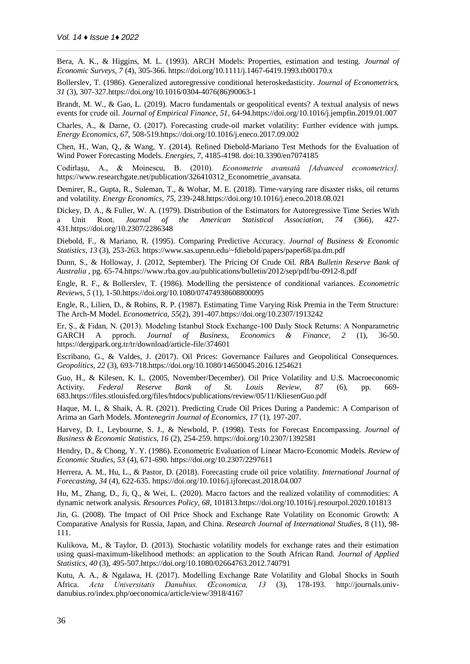Bera, A. K., & Higgins, M. L. (1993). ARCH Models: Properties, estimation and testing. *Journal of Economic Surveys, 7* (4), 305-366. https://doi.org/10.1111/j.1467-6419.1993.tb00170.x

Bollerslev, T. (1986). Generalized autoregressive conditional heteroskedasticity. *Journal of Econometrics, 31* (3), 307-327.https://doi.org/10.1016/0304-4076(86)90063-1

Brandt, M. W., & Gao, L. (2019). Macro fundamentals or geopolitical events? A textual analysis of news events for crude oil. *Journal of Empirical Finance, 51*, 64-94.https://doi.org/10.1016/j.jempfin.2019.01.007

Charles, A., & Darne, O. (2017). Forecasting crude-oil market volatility: Further evidence with jumps. *Energy Economics, 67*, 508-519.https://doi.org/10.1016/j.eneco.2017.09.002

Chen, H., Wan, Q., & Wang, Y. (2014). Refined Diebold-Mariano Test Methods for the Evaluation of Wind Power Forecasting Models. *Energies, 7*, 4185-4198. doi:10.3390/en7074185

Codirlașu, A., & Moinescu, B. (2010). *Econometrie avansată [Advanced econometrics].* https://www.researchgate.net/publication/326410312\_Econometrie\_avansata.

Demirer, R., Gupta, R., Suleman, T., & Wohar, M. E. (2018). Time-varying rare disaster risks, oil returns and volatility. *Energy Economics, 75*, 239-248.https://doi.org/10.1016/j.eneco.2018.08.021

Dickey, D. A., & Fuller, W. A. (1979). Distribution of the Estimators for Autoregressive Time Series With a Unit Root. *Journal of the American Statistical Association, 74* (366), 427- 431.https://doi.org/10.2307/2286348

Diebold, F., & Mariano, R. (1995). Comparing Predictive Accuracy. *Journal of Business & Economic Statistics, 13* (3), 253-263. <https://www.sas.upenn.edu/~fdiebold/papers/paper68/pa.dm.pdf>

Dunn, S., & Holloway, J. (2012, September). The Pricing Of Crude Oil. *RBA Bulletin Reserve Bank of Australia* , pg. 65-74.https://www.rba.gov.au/publications/bulletin/2012/sep/pdf/bu-0912-8.pdf

Engle, R. F., & Bollerslev, T. (1986). Modelling the persistence of conditional variances. *Econometric Reviews, 5* (1), 1-50.https://doi.org/10.1080/07474938608800095

Engle, R., Lilien, D., & Robins, R. P. (1987). Estimating Time Varying Risk Premia in the Term Structure: The Arch-M Model. *Econometrica, 55*(2), 391-407.https://doi.org/10.2307/1913242

Er, Ș., & Fidan, N. (2013). Modelıng Istanbul Stock Exchange-100 Daıly Stock Returns: A Nonparametric GARCH A pproch. *Journal of Business, Economics & Finance, 2* (1), 36-50. https://dergipark.org.tr/tr/download/article-file/374601

Escribano, G., & Valdes, J. (2017). Oil Prices: Governance Failures and Geopolitical Consequences. *Geopolitics, 22* (3), 693-718.https://doi.org/10.1080/14650045.2016.1254621

Guo, H., & Kilesen, K. L. (2005, November/December). Oil Price Volatility and U.S. Macroeconomic Activity. *Federal Reserve Bank of St. Louis Review, 87* (6), pp. 669- 683.https://files.stlouisfed.org/files/htdocs/publications/review/05/11/KliesenGuo.pdf

Haque, M. I., & Shaik, A. R. (2021). Predicting Crude Oil Prices During a Pandemic: A Comparison of Arima an Garh Models. *Montenegrin Journal of Economics, 17* (1), 197-207.

Harvey, D. I., Leybourne, S. J., & Newbold, P. (1998). Tests for Forecast Encompassing. *Journal of Business & Economic Statistics, 16* (2), 254-259. <https://doi.org/10.2307/1392581>

Hendry, D., & Chong, Y. Y. (1986). Econometric Evaluation of Linear Macro-Economic Models. *Review of Economic Studies, 53* (4), 671-690.<https://doi.org/10.2307/2297611>

Herrera, A. M., Hu, L., & Pastor, D. (2018). Forecasting crude oil price volatility. *International Journal of Forecasting, 34* (4), 622-635. https://doi.org/10.1016/j.ijforecast.2018.04.007

Hu, M., Zhang, D., Ji, Q., & Wei, L. (2020). Macro factors and the realized volatility of commodities: A dynamic network analysis. *Resources Policy, 68*, 101813.https://doi.org/10.1016/j.resourpol.2020.101813

Jin, G. (2008). The Impact of Oil Price Shock and Exchange Rate Volatility on Economic Growth: A Comparative Analysis for Russia, Japan, and China. *Research Journal of International Studies*, 8 (11), 98- 111.

Kulikova, M., & Taylor, D. (2013). Stochastic volatility models for exchange rates and their estimation using quasi-maximum-likelihood methods: an application to the South African Rand. *Journal of Applied Statistics, 40* (3), 495-507.https://doi.org/10.1080/02664763.2012.740791

Kutu, A. A., & Ngalawa, H. (2017). Modelling Exchange Rate Volatility and Global Shocks in South Africa. *Acta Universitatis Danubius. Œconomica, 13* (3), 178-193. http://journals.univdanubius.ro/index.php/oeconomica/article/view/3918/4167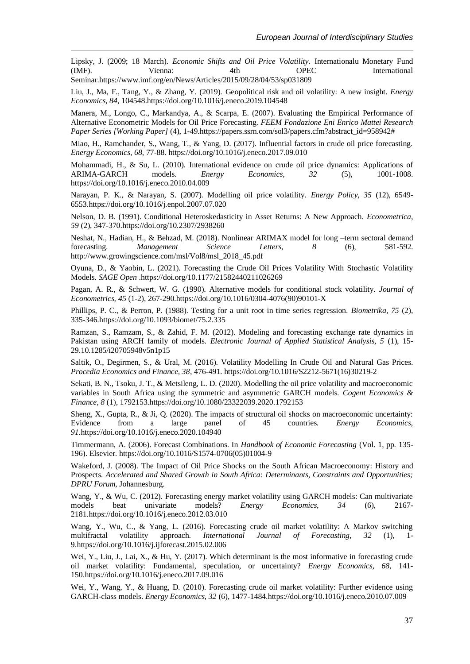Lipsky, J. (2009; 18 March). *Economic Shifts and Oil Price Volatility.* Internationalu Monetary Fund (IMF). Vienna: 4th OPEC International Seminar.https://www.imf.org/en/News/Articles/2015/09/28/04/53/sp031809

Liu, J., Ma, F., Tang, Y., & Zhang, Y. (2019). Geopolitical risk and oil volatility: A new insight. *Energy Economics, 84*, 104548.https://doi.org/10.1016/j.eneco.2019.104548

Manera, M., Longo, C., Markandya, A., & Scarpa, E. (2007). Evaluating the Empirical Performance of Alternative Econometric Models for Oil Price Forecasting. *FEEM Fondazione Eni Enrico Mattei Research Paper Series [Working Paper]* (4), 1-49.https://papers.ssrn.com/sol3/papers.cfm?abstract\_id=958942#

Miao, H., Ramchander, S., Wang, T., & Yang, D. (2017). Influential factors in crude oil price forecasting. *Energy Economics, 68*, 77-88. https://doi.org/10.1016/j.eneco.2017.09.010

Mohammadi, H., & Su, L. (2010). International evidence on crude oil price dynamics: Applications of ARIMA-GARCH models. *Energy Economics, 32* (5), 1001-1008. https://doi.org/10.1016/j.eneco.2010.04.009

Narayan, P. K., & Narayan, S. (2007). Modelling oil price volatility. *Energy Policy, 35* (12), 6549- 6553.https://doi.org/10.1016/j.enpol.2007.07.020

Nelson, D. B. (1991). Conditional Heteroskedasticity in Asset Returns: A New Approach. *Econometrica, 59* (2), 347-370.https://doi.org/10.2307/2938260

Neshat, N., Hadian, H., & Behzad, M. (2018). Nonlinear ARIMAX model for long –term sectoral demand forecasting. *Management Science Letters, 8* (6), 581-592. http://www.growingscience.com/msl/Vol8/msl\_2018\_45.pdf

Oyuna, D., & Yaobin, L. (2021). Forecasting the Crude Oil Prices Volatility With Stochastic Volatility Models. *SAGE Open* .https://doi.org/10.1177/21582440211026269

Pagan, A. R., & Schwert, W. G. (1990). Alternative models for conditional stock volatility. *Journal of Econometrics, 45* (1-2), 267-290.https://doi.org/10.1016/0304-4076(90)90101-X

Phillips, P. C., & Perron, P. (1988). Testing for a unit root in time series regression. *Biometrika, 75* (2), 335-346.https://doi.org/10.1093/biomet/75.2.335

Ramzan, S., Ramzam, S., & Zahid, F. M. (2012). Modeling and forecasting exchange rate dynamics in Pakistan using ARCH family of models. *Electronic Journal of Applied Statistical Analysis, 5* (1), 15- 29.10.1285/i20705948v5n1p15

Saltik, O., Degirmen, S., & Ural, M. (2016). Volatility Modelling In Crude Oil and Natural Gas Prices. *Procedia Economics and Finance, 38*, 476-491. https://doi.org/10.1016/S2212-5671(16)30219-2

Sekati, B. N., Tsoku, J. T., & Metsileng, L. D. (2020). Modelling the oil price volatility and macroeconomic variables in South Africa using the symmetric and asymmetric GARCH models. *Cogent Economics & Finance, 8* (1), 1792153.https://doi.org/10.1080/23322039.2020.1792153

Sheng, X., Gupta, R., & Ji, Q. (2020). The impacts of structural oil shocks on macroeconomic uncertainty: Evidence from a large panel of 45 countries. *Energy Economics, 91*.https://doi.org/10.1016/j.eneco.2020.104940

Timmermann, A. (2006). Forecast Combinations. In *Handbook of Economic Forecasting* (Vol. 1, pp. 135- 196). Elsevier. [https://doi.org/10.1016/S1574-0706\(05\)01004-9](https://doi.org/10.1016/S1574-0706(05)01004-9)

Wakeford, J. (2008). The Impact of Oil Price Shocks on the South African Macroeconomy: History and Prospects*. Accelerated and Shared Growth in South Africa: Determinants, Constraints and Opportunities; DPRU Forum*, Johannesburg.

Wang, Y., & Wu, C. (2012). Forecasting energy market volatility using GARCH models: Can multivariate models beat univariate models? *Energy Economics, 34* (6), 2167- 2181.https://doi.org/10.1016/j.eneco.2012.03.010

Wang, Y., Wu, C., & Yang, L. (2016). Forecasting crude oil market volatility: A Markov switching multifractal volatility approach. *International Journal of Forecasting, 32* (1), 1- 9.https://doi.org/10.1016/j.ijforecast.2015.02.006

Wei, Y., Liu, J., Lai, X., & Hu, Y. (2017). Which determinant is the most informative in forecasting crude oil market volatility: Fundamental, speculation, or uncertainty? *Energy Economics, 68*, 141- 150.https://doi.org/10.1016/j.eneco.2017.09.016

Wei, Y., Wang, Y., & Huang, D. (2010). Forecasting crude oil market volatility: Further evidence using GARCH-class models. *Energy Economics, 32* (6), 1477-1484.https://doi.org/10.1016/j.eneco.2010.07.009